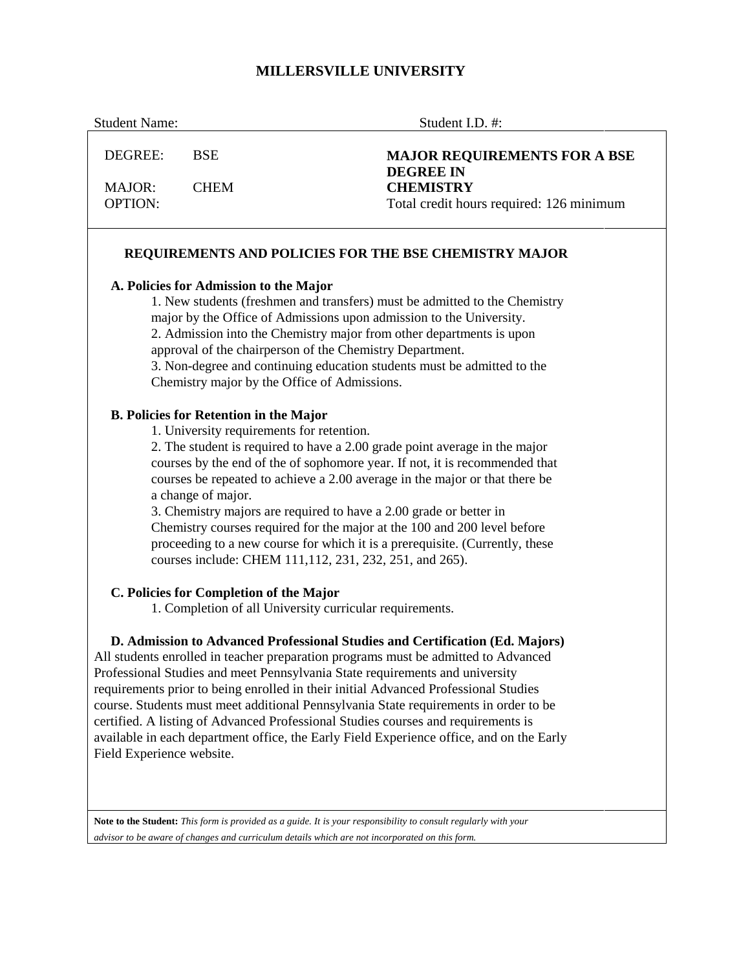# **MILLERSVILLE UNIVERSITY**

| <b>Student Name:</b>            |                                                                                         | Student I.D. #:                                                                                                                                                                                                                                                                                                                                                                                                                                                                                                                                                                                                                                                                                           |
|---------------------------------|-----------------------------------------------------------------------------------------|-----------------------------------------------------------------------------------------------------------------------------------------------------------------------------------------------------------------------------------------------------------------------------------------------------------------------------------------------------------------------------------------------------------------------------------------------------------------------------------------------------------------------------------------------------------------------------------------------------------------------------------------------------------------------------------------------------------|
| DEGREE:                         | <b>BSE</b>                                                                              | <b>MAJOR REQUIREMENTS FOR A BSE</b>                                                                                                                                                                                                                                                                                                                                                                                                                                                                                                                                                                                                                                                                       |
| <b>MAJOR:</b><br><b>OPTION:</b> | <b>CHEM</b>                                                                             | <b>DEGREE IN</b><br><b>CHEMISTRY</b><br>Total credit hours required: 126 minimum                                                                                                                                                                                                                                                                                                                                                                                                                                                                                                                                                                                                                          |
|                                 |                                                                                         | REQUIREMENTS AND POLICIES FOR THE BSE CHEMISTRY MAJOR                                                                                                                                                                                                                                                                                                                                                                                                                                                                                                                                                                                                                                                     |
|                                 | A. Policies for Admission to the Major<br><b>B. Policies for Retention in the Major</b> | 1. New students (freshmen and transfers) must be admitted to the Chemistry<br>major by the Office of Admissions upon admission to the University.<br>2. Admission into the Chemistry major from other departments is upon<br>approval of the chairperson of the Chemistry Department.<br>3. Non-degree and continuing education students must be admitted to the<br>Chemistry major by the Office of Admissions.<br>1. University requirements for retention.<br>2. The student is required to have a 2.00 grade point average in the major<br>courses by the end of the of sophomore year. If not, it is recommended that<br>courses be repeated to achieve a 2.00 average in the major or that there be |
|                                 | a change of major.                                                                      | 3. Chemistry majors are required to have a 2.00 grade or better in<br>Chemistry courses required for the major at the 100 and 200 level before<br>proceeding to a new course for which it is a prerequisite. (Currently, these<br>courses include: CHEM 111, 112, 231, 232, 251, and 265).                                                                                                                                                                                                                                                                                                                                                                                                                |
|                                 | C. Policies for Completion of the Major                                                 | 1. Completion of all University curricular requirements.                                                                                                                                                                                                                                                                                                                                                                                                                                                                                                                                                                                                                                                  |
| Field Experience website.       |                                                                                         | D. Admission to Advanced Professional Studies and Certification (Ed. Majors)<br>All students enrolled in teacher preparation programs must be admitted to Advanced<br>Professional Studies and meet Pennsylvania State requirements and university<br>requirements prior to being enrolled in their initial Advanced Professional Studies<br>course. Students must meet additional Pennsylvania State requirements in order to be<br>certified. A listing of Advanced Professional Studies courses and requirements is<br>available in each department office, the Early Field Experience office, and on the Early                                                                                        |
|                                 |                                                                                         | Note to the Student: This form is provided as a guide. It is your responsibility to consult regularly with your<br>advisor to be aware of changes and curriculum details which are not incorporated on this form.                                                                                                                                                                                                                                                                                                                                                                                                                                                                                         |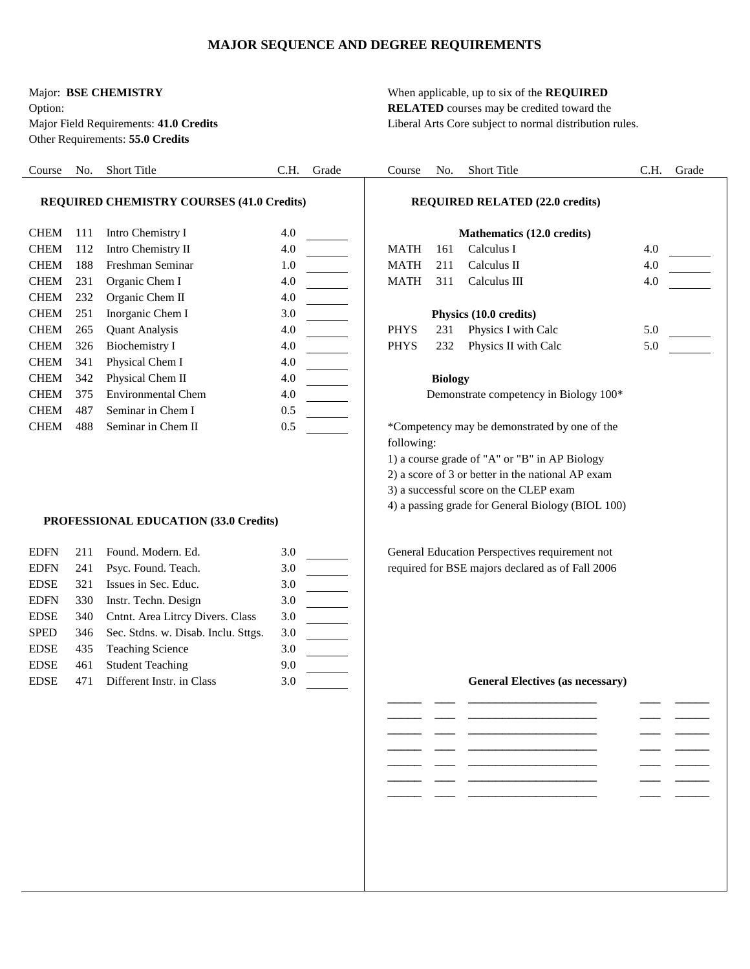### **MAJOR SEQUENCE AND DEGREE REQUIREMENTS**

Other Requirements: **55.0 Credits**

Major: **BSE CHEMISTRY** When applicable, up to six of the **REQUIRED**  Option: **RELATED** courses may be credited toward the Major Field Requirements: **41.0 Credits** Liberal Arts Core subject to normal distribution rules.

| Course                                           | No. | Short Title                           | C.H. | Grade | Course      | No.            | Short Title                                       | C.H. | Grade |
|--------------------------------------------------|-----|---------------------------------------|------|-------|-------------|----------------|---------------------------------------------------|------|-------|
| <b>REQUIRED CHEMISTRY COURSES (41.0 Credits)</b> |     |                                       |      |       |             |                |                                                   |      |       |
|                                                  |     |                                       |      |       |             |                | <b>REQUIRED RELATED (22.0 credits)</b>            |      |       |
| <b>CHEM</b>                                      | 111 | Intro Chemistry I                     | 4.0  |       |             |                | Mathematics (12.0 credits)                        |      |       |
| <b>CHEM</b>                                      | 112 | Intro Chemistry II                    | 4.0  |       | <b>MATH</b> | 161            | Calculus I                                        | 4.0  |       |
| <b>CHEM</b>                                      | 188 | Freshman Seminar                      | 1.0  |       | <b>MATH</b> | 211            | Calculus II                                       | 4.0  |       |
| <b>CHEM</b>                                      | 231 | Organic Chem I                        | 4.0  |       | <b>MATH</b> | 311            | Calculus III                                      | 4.0  |       |
| <b>CHEM</b>                                      | 232 | Organic Chem II                       | 4.0  |       |             |                |                                                   |      |       |
| <b>CHEM</b>                                      | 251 | Inorganic Chem I                      | 3.0  |       |             |                | Physics (10.0 credits)                            |      |       |
| <b>CHEM</b>                                      | 265 | <b>Quant Analysis</b>                 | 4.0  |       | <b>PHYS</b> | 231            | Physics I with Calc                               | 5.0  |       |
| <b>CHEM</b>                                      | 326 | <b>Biochemistry I</b>                 | 4.0  |       | <b>PHYS</b> | 232            | Physics II with Calc                              | 5.0  |       |
| <b>CHEM</b>                                      | 341 | Physical Chem I                       | 4.0  |       |             |                |                                                   |      |       |
| <b>CHEM</b>                                      | 342 | Physical Chem II                      | 4.0  |       |             | <b>Biology</b> |                                                   |      |       |
| <b>CHEM</b>                                      | 375 | <b>Environmental Chem</b>             | 4.0  |       |             |                | Demonstrate competency in Biology 100*            |      |       |
| <b>CHEM</b>                                      | 487 | Seminar in Chem I                     | 0.5  |       |             |                |                                                   |      |       |
| <b>CHEM</b>                                      | 488 | Seminar in Chem II                    | 0.5  |       |             |                | *Competency may be demonstrated by one of the     |      |       |
|                                                  |     |                                       |      |       | following:  |                |                                                   |      |       |
|                                                  |     |                                       |      |       |             |                | 1) a course grade of "A" or "B" in AP Biology     |      |       |
|                                                  |     |                                       |      |       |             |                | 2) a score of 3 or better in the national AP exam |      |       |
|                                                  |     |                                       |      |       |             |                | 3) a successful score on the CLEP exam            |      |       |
|                                                  |     |                                       |      |       |             |                | 4) a passing grade for General Biology (BIOL 100) |      |       |
|                                                  |     | PROFESSIONAL EDUCATION (33.0 Credits) |      |       |             |                |                                                   |      |       |
| <b>EDFN</b>                                      | 211 | Found. Modern. Ed.                    | 3.0  |       |             |                | General Education Perspectives requirement not    |      |       |
| <b>EDFN</b>                                      | 241 | Psyc. Found. Teach.                   | 3.0  |       |             |                | required for BSE majors declared as of Fall 2006  |      |       |
| <b>EDSE</b>                                      | 321 | Issues in Sec. Educ.                  | 3.0  |       |             |                |                                                   |      |       |
| <b>EDFN</b>                                      | 330 | Instr. Techn. Design                  | 3.0  |       |             |                |                                                   |      |       |
| <b>EDSE</b>                                      | 340 | Cntnt. Area Litrcy Divers. Class      | 3.0  |       |             |                |                                                   |      |       |
| <b>SPED</b>                                      | 346 | Sec. Stdns. w. Disab. Inclu. Sttgs.   | 3.0  |       |             |                |                                                   |      |       |
| <b>EDSE</b>                                      | 435 | <b>Teaching Science</b>               | 3.0  |       |             |                |                                                   |      |       |
| <b>EDSE</b>                                      | 461 | <b>Student Teaching</b>               | 9.0  |       |             |                |                                                   |      |       |
| ${\rm EDSE}$                                     | 471 | Different Instr. in Class             | 3.0  |       |             |                | <b>General Electives (as necessary)</b>           |      |       |
|                                                  |     |                                       |      |       |             |                |                                                   |      |       |
|                                                  |     |                                       |      |       |             |                |                                                   |      |       |
|                                                  |     |                                       |      |       |             |                |                                                   |      |       |
|                                                  |     |                                       |      |       |             |                |                                                   |      |       |
|                                                  |     |                                       |      |       |             |                |                                                   |      |       |
|                                                  |     |                                       |      |       |             |                |                                                   |      |       |
|                                                  |     |                                       |      |       |             |                |                                                   |      |       |
|                                                  |     |                                       |      |       |             |                |                                                   |      |       |
|                                                  |     |                                       |      |       |             |                |                                                   |      |       |
|                                                  |     |                                       |      |       |             |                |                                                   |      |       |
|                                                  |     |                                       |      |       |             |                |                                                   |      |       |